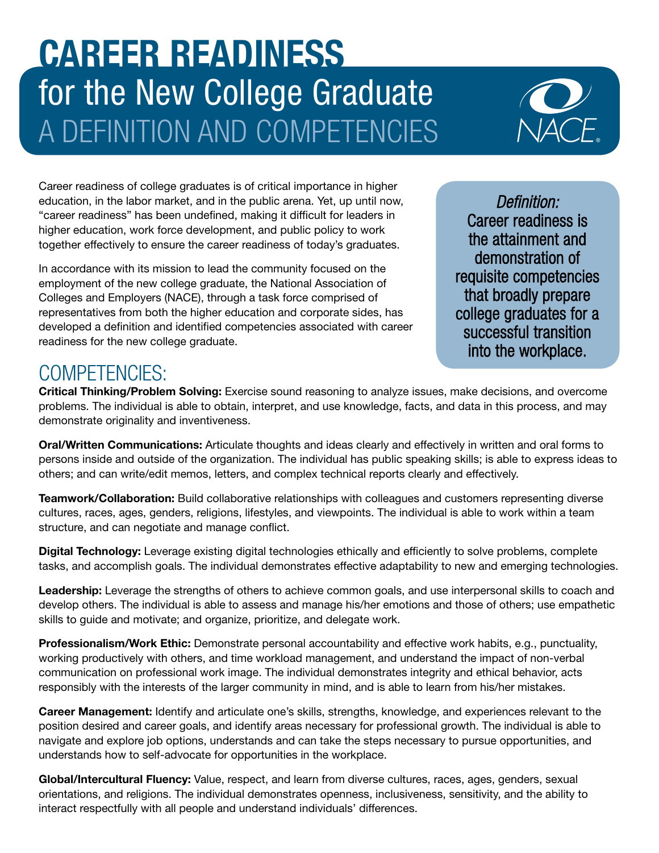## CAREER READINESS for the New College Graduate A DEFINITION AND COMPETENCIES



Career readiness of college graduates is of critical importance in higher education, in the labor market, and in the public arena. Yet, up until now, "career readiness" has been undefined, making it difficult for leaders in higher education, work force development, and public policy to work together effectively to ensure the career readiness of today's graduates.

In accordance with its mission to lead the community focused on the employment of the new college graduate, the National Association of Colleges and Employers (NACE), through a task force comprised of representatives from both the higher education and corporate sides, has developed a defnition and identifed competencies associated with career readiness for the new college graduate.

*Defnition:* Career readiness is the attainment and demonstration of requisite competencies that broadly prepare college graduates for a successful transition into the workplace.

## COMPETENCIES:

Critical Thinking/Problem Solving: Exercise sound reasoning to analyze issues, make decisions, and overcome problems. The individual is able to obtain, interpret, and use knowledge, facts, and data in this process, and may demonstrate originality and inventiveness.

Oral/Written Communications: Articulate thoughts and ideas clearly and effectively in written and oral forms to persons inside and outside of the organization. The individual has public speaking skills; is able to express ideas to others; and can write/edit memos, letters, and complex technical reports clearly and effectively.

**Teamwork/Collaboration:** Build collaborative relationships with colleagues and customers representing diverse cultures, races, ages, genders, religions, lifestyles, and viewpoints. The individual is able to work within a team structure, and can negotiate and manage confict.

Digital Technology: Leverage existing digital technologies ethically and efficiently to solve problems, complete tasks, and accomplish goals. The individual demonstrates effective adaptability to new and emerging technologies.

Leadership: Leverage the strengths of others to achieve common goals, and use interpersonal skills to coach and develop others. The individual is able to assess and manage his/her emotions and those of others; use empathetic skills to guide and motivate; and organize, prioritize, and delegate work.

Professionalism/Work Ethic: Demonstrate personal accountability and effective work habits, e.g., punctuality, working productively with others, and time workload management, and understand the impact of non-verbal communication on professional work image. The individual demonstrates integrity and ethical behavior, acts responsibly with the interests of the larger community in mind, and is able to learn from his/her mistakes.

Career Management: Identify and articulate one's skills, strengths, knowledge, and experiences relevant to the position desired and career goals, and identify areas necessary for professional growth. The individual is able to navigate and explore job options, understands and can take the steps necessary to pursue opportunities, and understands how to self-advocate for opportunities in the workplace.

Global/Intercultural Fluency: Value, respect, and learn from diverse cultures, races, ages, genders, sexual orientations, and religions. The individual demonstrates openness, inclusiveness, sensitivity, and the ability to interact respectfully with all people and understand individuals' differences.